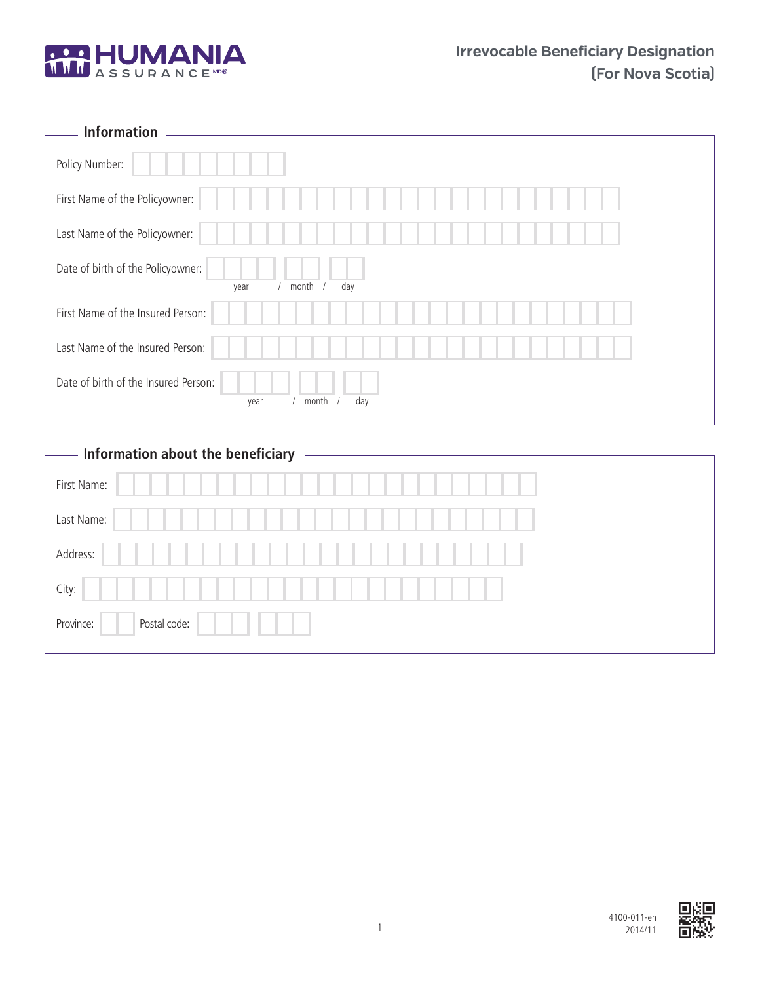

| <b>Information</b>                                           |
|--------------------------------------------------------------|
| Policy Number:                                               |
| First Name of the Policyowner:                               |
| Last Name of the Policyowner:                                |
| Date of birth of the Policyowner:<br>day<br>month<br>year    |
| First Name of the Insured Person:                            |
| Last Name of the Insured Person:                             |
| Date of birth of the Insured Person:<br>month<br>day<br>year |

# **Information about the beneficiary**

 $\overline{\Gamma}$ 

| First Name: |              |  |  |
|-------------|--------------|--|--|
| Last Name:  |              |  |  |
| Address:    |              |  |  |
| City:       |              |  |  |
| Province:   | Postal code: |  |  |

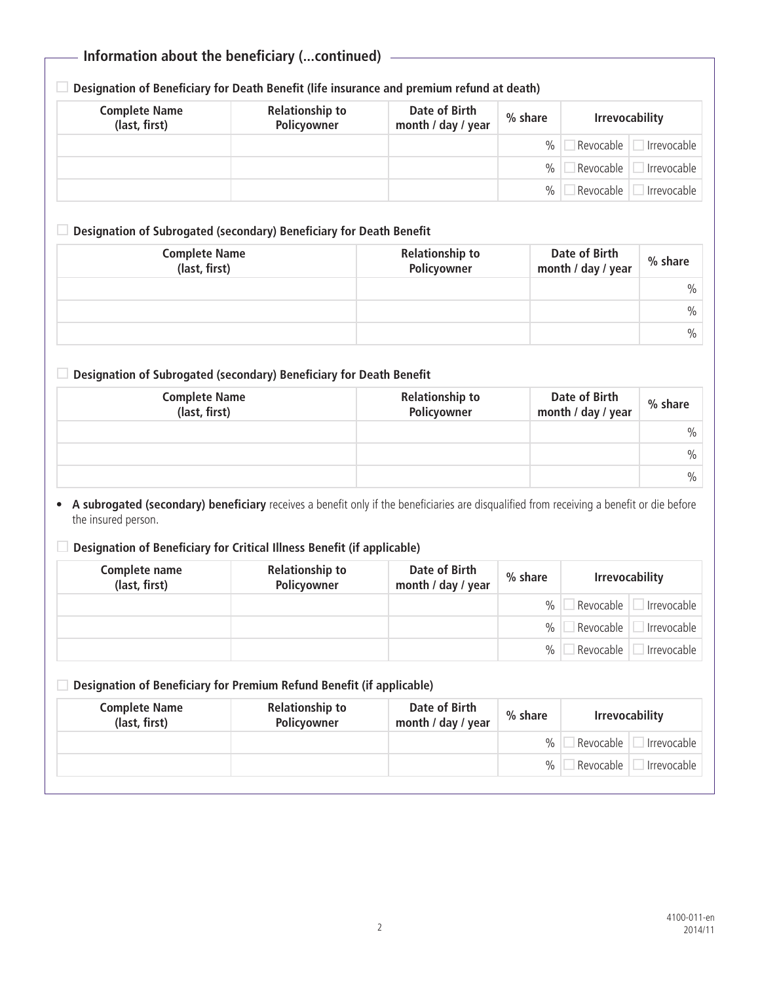# **Information about the beneficiary (...continued)**

**Designation of Beneficiary for Death Benefit (life insurance and premium refund at death)**

| <b>Complete Name</b><br>(last, first) | <b>Relationship to</b><br>Policyowner | Date of Birth<br>month / day / year | % share | <b>Irrevocability</b>    |
|---------------------------------------|---------------------------------------|-------------------------------------|---------|--------------------------|
|                                       |                                       |                                     | $\%$    | Revocable<br>Irrevocable |
|                                       |                                       |                                     | % ⊧     | Revocable<br>Irrevocable |
|                                       |                                       |                                     | $\%$    | Revocable<br>Irrevocable |

### **Designation of Subrogated (secondary) Beneficiary for Death Benefit**

| <b>Complete Name</b><br>(last, first) | <b>Relationship to</b><br>Policyowner | Date of Birth<br>month / day / year | % share       |
|---------------------------------------|---------------------------------------|-------------------------------------|---------------|
|                                       |                                       |                                     | $\frac{0}{0}$ |
|                                       |                                       |                                     | $\frac{0}{0}$ |
|                                       |                                       |                                     | $\frac{0}{0}$ |

### **Designation of Subrogated (secondary) Beneficiary for Death Benefit**

| <b>Complete Name</b><br>(last, first) | <b>Relationship to</b><br>Policyowner | Date of Birth<br>month / day / year | % share       |
|---------------------------------------|---------------------------------------|-------------------------------------|---------------|
|                                       |                                       |                                     | $\frac{0}{0}$ |
|                                       |                                       |                                     | $\frac{0}{0}$ |
|                                       |                                       |                                     | $\%$          |

• **A subrogated (secondary) beneficiary** receives a benefit only if the beneficiaries are disqualified from receiving a benefit or die before the insured person.

### **Designation of Beneficiary for Critical Illness Benefit (if applicable)**

| Complete name<br>(last, first) | <b>Relationship to</b><br>Policyowner | Date of Birth<br>month / day / year | % share       | <b>Irrevocability</b> |             |
|--------------------------------|---------------------------------------|-------------------------------------|---------------|-----------------------|-------------|
|                                |                                       |                                     | $\frac{0}{0}$ | Revocable             | Irrevocable |
|                                |                                       |                                     | $\%$          | Revocable             | Irrevocable |
|                                |                                       |                                     | $\%$          | Revocable             | Irrevocable |

### **Designation of Beneficiary for Premium Refund Benefit (if applicable)**

| <b>Complete Name</b><br>(last, first) | <b>Relationship to</b><br>Policyowner | Date of Birth<br>month / day / year | % share       | <b>Irrevocability</b>    |
|---------------------------------------|---------------------------------------|-------------------------------------|---------------|--------------------------|
|                                       |                                       |                                     | $\frac{0}{0}$ | Revocable<br>Irrevocable |
|                                       |                                       |                                     | $\%$          | Revocable<br>Irrevocable |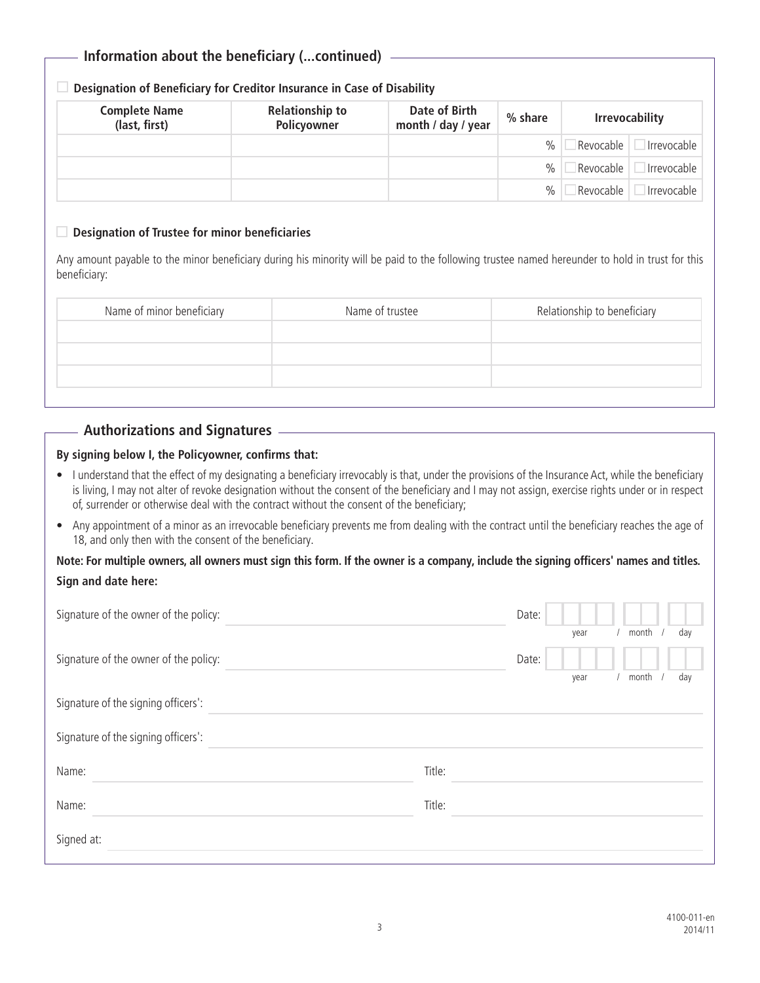# **Information about the beneficiary (...continued)**

### **Designation of Beneficiary for Creditor Insurance in Case of Disability**

| <b>Complete Name</b><br>(last, first) | <b>Relationship to</b><br>Policyowner | Date of Birth<br>month / day / year | % share | <b>Irrevocability</b> |             |
|---------------------------------------|---------------------------------------|-------------------------------------|---------|-----------------------|-------------|
|                                       |                                       |                                     | $\%$    | Revocable             | Irrevocable |
|                                       |                                       |                                     | %       | Revocable             | Irrevocable |
|                                       |                                       |                                     | $\%$    | Revocable             | Irrevocable |

#### **Designation of Trustee for minor beneficiaries**

Any amount payable to the minor beneficiary during his minority will be paid to the following trustee named hereunder to hold in trust for this beneficiary:

| Name of trustee | Relationship to beneficiary |
|-----------------|-----------------------------|
|                 |                             |
|                 |                             |
|                 |                             |
|                 |                             |

## **Authorizations and Signatures**

### **By signing below I, the Policyowner, confirms that:**

- I understand that the effect of my designating a beneficiary irrevocably is that, under the provisions of the Insurance Act, while the beneficiary is living, I may not alter of revoke designation without the consent of the beneficiary and I may not assign, exercise rights under or in respect of, surrender or otherwise deal with the contract without the consent of the beneficiary;
- Any appointment of a minor as an irrevocable beneficiary prevents me from dealing with the contract until the beneficiary reaches the age of 18, and only then with the consent of the beneficiary.

## **Note: For multiple owners, all owners must sign this form. If the owner is a company, include the signing officers' names and titles. Sign and date here:**

| Signature of the owner of the policy: | Date:                         |
|---------------------------------------|-------------------------------|
|                                       | month<br>day<br>year          |
| Signature of the owner of the policy: | Date:<br>month<br>day<br>year |
| Signature of the signing officers':   |                               |
| Signature of the signing officers':   |                               |
| Name:                                 | Title:                        |
| Name:                                 | Title:                        |
| Signed at:                            |                               |